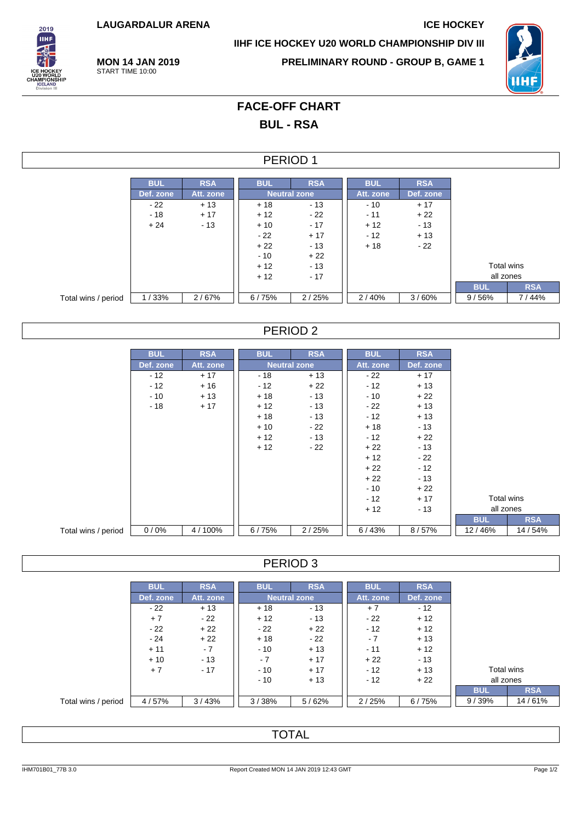**LAUGARDALUR ARENA ICE HOCKEY**

**MON 14 JAN 2019** START TIME 10:00



**IIHF ICE HOCKEY U20 WORLD CHAMPIONSHIP DIV III**

**PRELIMINARY ROUND - GROUP B, GAME 1**



# **FACE-OFF CHART BUL - RSA**

#### PERIOD 1

|                     | <b>BUL</b> | <b>RSA</b> | <b>BUL</b>          | <b>RSA</b> | <b>BUL</b> | <b>RSA</b> |            |            |
|---------------------|------------|------------|---------------------|------------|------------|------------|------------|------------|
|                     | Def. zone  | Att. zone  | <b>Neutral zone</b> |            | Att. zone  | Def. zone  |            |            |
|                     | $-22$      | $+13$      | $+18$               | $-13$      | $-10$      | $+17$      |            |            |
|                     | $-18$      | $+17$      | $+12$               | $-22$      | $-11$      | $+22$      |            |            |
|                     | $+24$      | $-13$      | $+10$               | $-17$      | $+12$      | $-13$      |            |            |
|                     |            |            | $-22$               | $+17$      | $-12$      | $+13$      |            |            |
|                     |            |            | $+22$               | - 13       | $+18$      | $-22$      |            |            |
|                     |            |            | $-10$               | $+22$      |            |            |            |            |
|                     |            |            | $+12$               | $-13$      |            |            | Total wins |            |
|                     |            |            | $+12$               | $-17$      |            |            | all zones  |            |
|                     |            |            |                     |            |            |            | <b>BUL</b> | <b>RSA</b> |
| Total wins / period | 1/33%      | 2/67%      | 6/75%               | 2/25%      | 2/40%      | 3/60%      | 9/56%      | 7/44%      |

### PERIOD 2

|                     | <b>BUL</b> | <b>RSA</b> | <b>BUL</b> | <b>RSA</b>          | <b>BUL</b> | <b>RSA</b> |            |  |            |            |          |
|---------------------|------------|------------|------------|---------------------|------------|------------|------------|--|------------|------------|----------|
|                     | Def. zone  | Att. zone  |            | <b>Neutral zone</b> | Att. zone  | Def. zone  |            |  |            |            |          |
|                     | $-12$      | $+17$      | - 18       | $+13$               | $-22$      | $+17$      |            |  |            |            |          |
|                     | $-12$      | $+16$      | $-12$      | $+22$               | $-12$      | $+13$      |            |  |            |            |          |
|                     | $-10$      | $+13$      | $+18$      | $-13$               | $-10$      | $+22$      |            |  |            |            |          |
|                     | $-18$      | $+17$      | $+12$      | $-13$               | $-22$      | $+13$      |            |  |            |            |          |
|                     |            |            | $+18$      | $-13$               | $-12$      | $+13$      |            |  |            |            |          |
|                     |            |            | $+10$      | $-22$               | $+18$      | $-13$      |            |  |            |            |          |
|                     |            |            | $+12$      | $-13$               | $-12$      | $+22$      |            |  |            |            |          |
|                     |            |            | $+12$      | $-22$               | $+22$      | $-13$      |            |  |            |            |          |
|                     |            |            |            |                     | $+12$      | - 22       |            |  |            |            |          |
|                     |            |            |            |                     | $+22$      | $-12$      |            |  |            |            |          |
|                     |            |            |            |                     | $+22$      | $-13$      |            |  |            |            |          |
|                     |            |            |            |                     | $-10$      | $+22$      |            |  |            |            |          |
|                     |            |            |            |                     | $-12$      | $+17$      |            |  | Total wins |            |          |
|                     |            |            |            |                     | $+12$      | $-13$      |            |  | all zones  |            |          |
|                     |            |            |            |                     |            |            | <b>BUL</b> |  |            | <b>RSA</b> |          |
| Total wins / period | 0/0%       | 4/100%     | 6/75%      | 2/25%               | 6/43%      | 8/57%      | 12/46%     |  |            |            | 14 / 54% |

#### PERIOD 3

|                     | <b>BUL</b> | <b>RSA</b> | <b>BUL</b> | <b>RSA</b>          | <b>BUL</b> | <b>RSA</b> |            |            |
|---------------------|------------|------------|------------|---------------------|------------|------------|------------|------------|
|                     | Def. zone  | Att. zone  |            | <b>Neutral zone</b> | Att. zone  | Def. zone  |            |            |
|                     | $-22$      | $+13$      | $+18$      | $-13$               | $+7$       | $-12$      |            |            |
|                     | $+7$       | - 22       | $+12$      | $-13$               | $-22$      | $+12$      |            |            |
|                     | $-22$      | $+22$      | - 22       | $+22$               | $-12$      | $+12$      |            |            |
|                     | $-24$      | $+22$      | $+18$      | - 22                | $-7$       | $+13$      |            |            |
|                     | $+11$      | $-7$       | $-10$      | $+13$               | $-11$      | $+12$      |            |            |
|                     | $+10$      | $-13$      | $-7$       | $+17$               | $+22$      | - 13       |            |            |
|                     | $+7$       | $-17$      | $-10$      | $+17$               | $-12$      | $+13$      | Total wins |            |
|                     |            |            | $-10$      | $+13$               | $-12$      | $+22$      | all zones  |            |
|                     |            |            |            |                     |            |            | <b>BUL</b> | <b>RSA</b> |
| Total wins / period | 4/57%      | 3/43%      | 3/38%      | 5/62%               | 2/25%      | 6/75%      | 9/39%      | 14/61%     |

### **TOTAL**